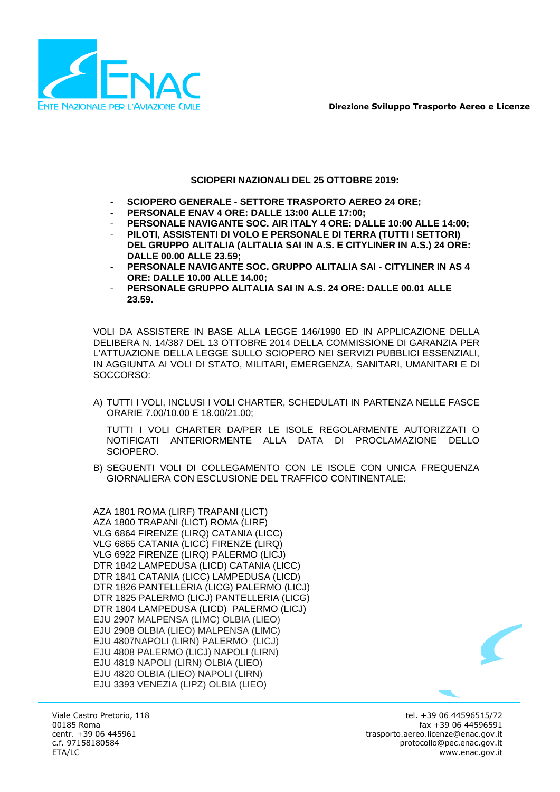

**Direzione Sviluppo Trasporto Aereo e Licenze**

### **SCIOPERI NAZIONALI DEL 25 OTTOBRE 2019:**

- **SCIOPERO GENERALE - SETTORE TRASPORTO AEREO 24 ORE;**
- **PERSONALE ENAV 4 ORE: DALLE 13:00 ALLE 17:00;**
- **PERSONALE NAVIGANTE SOC. AIR ITALY 4 ORE: DALLE 10:00 ALLE 14:00;**
- **PILOTI, ASSISTENTI DI VOLO E PERSONALE DI TERRA (TUTTI I SETTORI) DEL GRUPPO ALITALIA (ALITALIA SAI IN A.S. E CITYLINER IN A.S.) 24 ORE: DALLE 00.00 ALLE 23.59;**
- **PERSONALE NAVIGANTE SOC. GRUPPO ALITALIA SAI - CITYLINER IN AS 4 ORE: DALLE 10.00 ALLE 14.00;**
- **PERSONALE GRUPPO ALITALIA SAI IN A.S. 24 ORE: DALLE 00.01 ALLE 23.59.**

VOLI DA ASSISTERE IN BASE ALLA LEGGE 146/1990 ED IN APPLICAZIONE DELLA DELIBERA N. 14/387 DEL 13 OTTOBRE 2014 DELLA COMMISSIONE DI GARANZIA PER L'ATTUAZIONE DELLA LEGGE SULLO SCIOPERO NEI SERVIZI PUBBLICI ESSENZIALI, IN AGGIUNTA AI VOLI DI STATO, MILITARI, EMERGENZA, SANITARI, UMANITARI E DI SOCCORSO:

A) TUTTI I VOLI, INCLUSI I VOLI CHARTER, SCHEDULATI IN PARTENZA NELLE FASCE ORARIE 7.00/10.00 E 18.00/21.00;

TUTTI I VOLI CHARTER DA/PER LE ISOLE REGOLARMENTE AUTORIZZATI O NOTIFICATI ANTERIORMENTE ALLA DATA DI PROCLAMAZIONE DELLO SCIOPERO.

B) SEGUENTI VOLI DI COLLEGAMENTO CON LE ISOLE CON UNICA FREQUENZA GIORNALIERA CON ESCLUSIONE DEL TRAFFICO CONTINENTALE:

AZA 1801 ROMA (LIRF) TRAPANI (LICT) AZA 1800 TRAPANI (LICT) ROMA (LIRF) VLG 6864 FIRENZE (LIRQ) CATANIA (LICC) VLG 6865 CATANIA (LICC) FIRENZE (LIRQ) VLG 6922 FIRENZE (LIRQ) PALERMO (LICJ) DTR 1842 LAMPEDUSA (LICD) CATANIA (LICC) DTR 1841 CATANIA (LICC) LAMPEDUSA (LICD) DTR 1826 PANTELLERIA (LICG) PALERMO (LICJ) DTR 1825 PALERMO (LICJ) PANTELLERIA (LICG) DTR 1804 LAMPEDUSA (LICD) PALERMO (LICJ) EJU 2907 MALPENSA (LIMC) OLBIA (LIEO) EJU 2908 OLBIA (LIEO) MALPENSA (LIMC) EJU 4807NAPOLI (LIRN) PALERMO (LICJ) EJU 4808 PALERMO (LICJ) NAPOLI (LIRN) EJU 4819 NAPOLI (LIRN) OLBIA (LIEO) EJU 4820 OLBIA (LIEO) NAPOLI (LIRN) EJU 3393 VENEZIA (LIPZ) OLBIA (LIEO)



Viale Castro Pretorio, 118 00185 Roma centr. +39 06 445961 c.f. 97158180584 ETA/LC

tel. +39 06 44596515/72 fax +39 06 44596591 trasporto.aereo.licenze@enac.gov.it protocollo@pec.enac.gov.it www.enac.gov.it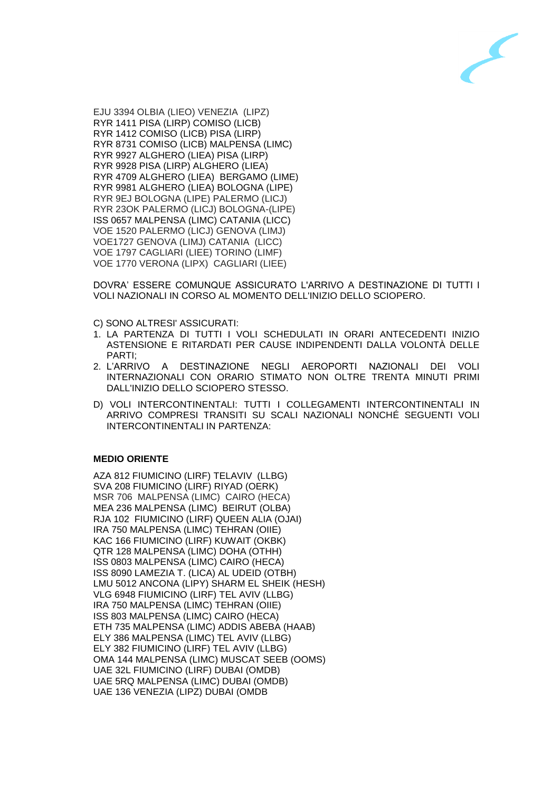

EJU 3394 OLBIA (LIEO) VENEZIA (LIPZ) RYR 1411 PISA (LIRP) COMISO (LICB) RYR 1412 COMISO (LICB) PISA (LIRP) RYR 8731 COMISO (LICB) MALPENSA (LIMC) RYR 9927 ALGHERO (LIEA) PISA (LIRP) RYR 9928 PISA (LIRP) ALGHERO (LIEA) RYR 4709 ALGHERO (LIEA) BERGAMO (LIME) RYR 9981 ALGHERO (LIEA) BOLOGNA (LIPE) RYR 9EJ BOLOGNA (LIPE) PALERMO (LICJ) RYR 230K PALERMO (LICJ) BOLOGNA-(LIPE) ISS 0657 MALPENSA (LIMC) CATANIA (LICC) VOE 1520 PALERMO (LICJ) GENOVA (LIMJ) VOE1727 GENOVA (LIMJ) CATANIA (LICC) VOE 1797 CAGLIARI (LIEE) TORINO (LIMF) VOE 1770 VERONA (LIPX) CAGLIARI (LIEE)

DOVRA' ESSERE COMUNQUE ASSICURATO L'ARRIVO A DESTINAZIONE DI TUTTI I VOLI NAZIONALI IN CORSO AL MOMENTO DELL'INIZIO DELLO SCIOPERO.

C) SONO ALTRESI' ASSICURATI:

- 1. LA PARTENZA DI TUTTI I VOLI SCHEDULATI IN ORARI ANTECEDENTI INIZIO ASTENSIONE E RITARDATI PER CAUSE INDIPENDENTI DALLA VOLONTÀ DELLE PARTI;
- 2. L'ARRIVO A DESTINAZIONE NEGLI AEROPORTI NAZIONALI DEI VOLI INTERNAZIONALI CON ORARIO STIMATO NON OLTRE TRENTA MINUTI PRIMI DALL'INIZIO DELLO SCIOPERO STESSO.
- D) VOLI INTERCONTINENTALI: TUTTI I COLLEGAMENTI INTERCONTINENTALI IN ARRIVO COMPRESI TRANSITI SU SCALI NAZIONALI NONCHÉ SEGUENTI VOLI INTERCONTINENTALI IN PARTENZA:

## **MEDIO ORIENTE**

AZA 812 FIUMICINO (LIRF) TELAVIV (LLBG) SVA 208 FIUMICINO (LIRF) RIYAD (OERK) MSR 706 MALPENSA (LIMC) CAIRO (HECA) MEA 236 MALPENSA (LIMC) BEIRUT (OLBA) RJA 102 FIUMICINO (LIRF) QUEEN ALIA (OJAI) IRA 750 MALPENSA (LIMC) TEHRAN (OIIE) KAC 166 FIUMICINO (LIRF) KUWAIT (OKBK) QTR 128 MALPENSA (LIMC) DOHA (OTHH) ISS 0803 MALPENSA (LIMC) CAIRO (HECA) ISS 8090 LAMEZIA T. (LICA) AL UDEID (OTBH) LMU 5012 ANCONA (LIPY) SHARM EL SHEIK (HESH) VLG 6948 FIUMICINO (LIRF) TEL AVIV (LLBG) IRA 750 MALPENSA (LIMC) TEHRAN (OIIE) ISS 803 MALPENSA (LIMC) CAIRO (HECA) ETH 735 MALPENSA (LIMC) ADDIS ABEBA (HAAB) ELY 386 MALPENSA (LIMC) TEL AVIV (LLBG) ELY 382 FIUMICINO (LIRF) TEL AVIV (LLBG) OMA 144 MALPENSA (LIMC) MUSCAT SEEB (OOMS) UAE 32L FIUMICINO (LIRF) DUBAI (OMDB) UAE 5RQ MALPENSA (LIMC) DUBAI (OMDB) UAE 136 VENEZIA (LIPZ) DUBAI (OMDB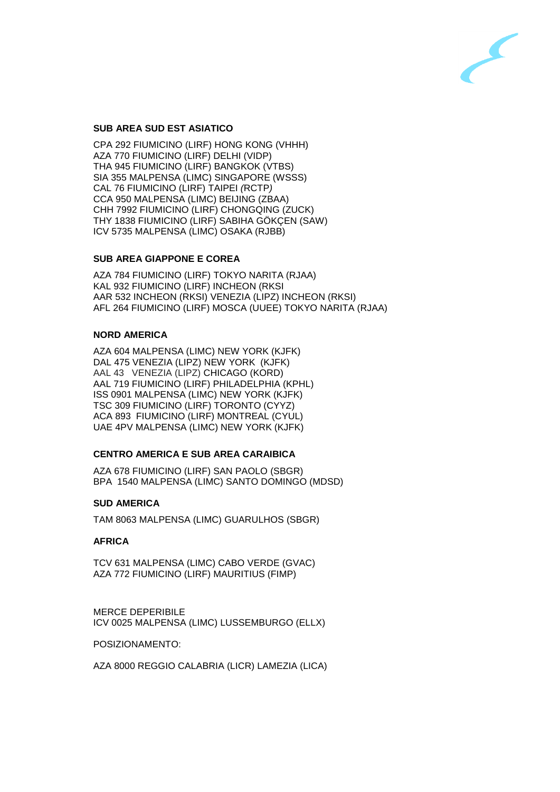

# **SUB AREA SUD EST ASIATICO**

CPA 292 FIUMICINO (LIRF) HONG KONG (VHHH) AZA 770 FIUMICINO (LIRF) DELHI (VIDP) THA 945 FIUMICINO (LIRF) BANGKOK (VTBS) SIA 355 MALPENSA (LIMC) SINGAPORE (WSSS) CAL 76 FIUMICINO (LIRF) TAIPEI *(*RCTP*)* CCA 950 MALPENSA (LIMC) BEIJING (ZBAA) CHH 7992 FIUMICINO (LIRF) CHONGQING (ZUCK) THY 1838 FIUMICINO (LIRF) SABIHA GÖKÇEN (SAW) ICV 5735 MALPENSA (LIMC) OSAKA (RJBB)

## **SUB AREA GIAPPONE E COREA**

AZA 784 FIUMICINO (LIRF) TOKYO NARITA (RJAA) KAL 932 FIUMICINO (LIRF) INCHEON (RKSI AAR 532 INCHEON (RKSI) VENEZIA (LIPZ) INCHEON (RKSI) AFL 264 FIUMICINO (LIRF) MOSCA (UUEE) TOKYO NARITA (RJAA)

#### **NORD AMERICA**

AZA 604 MALPENSA (LIMC) NEW YORK (KJFK) DAL 475 VENEZIA (LIPZ) NEW YORK (KJFK) AAL 43 VENEZIA (LIPZ) CHICAGO (KORD) AAL 719 FIUMICINO (LIRF) PHILADELPHIA (KPHL) ISS 0901 MALPENSA (LIMC) NEW YORK (KJFK) TSC 309 FIUMICINO (LIRF) TORONTO (CYYZ) ACA 893 FIUMICINO (LIRF) MONTREAL (CYUL) UAE 4PV MALPENSA (LIMC) NEW YORK (KJFK)

## **CENTRO AMERICA E SUB AREA CARAIBICA**

AZA 678 FIUMICINO (LIRF) SAN PAOLO (SBGR) BPA 1540 MALPENSA (LIMC) SANTO DOMINGO (MDSD)

#### **SUD AMERICA**

TAM 8063 MALPENSA (LIMC) GUARULHOS (SBGR)

#### **AFRICA**

TCV 631 MALPENSA (LIMC) CABO VERDE (GVAC) AZA 772 FIUMICINO (LIRF) MAURITIUS (FIMP)

MERCE DEPERIBILE ICV 0025 MALPENSA (LIMC) LUSSEMBURGO (ELLX)

POSIZIONAMENTO:

AZA 8000 REGGIO CALABRIA (LICR) LAMEZIA (LICA)